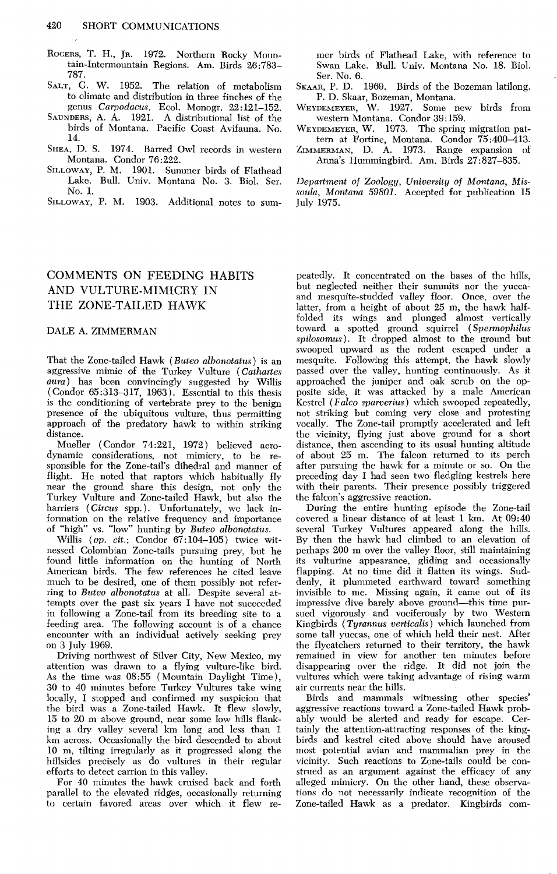- **ROGERS, T. H., JR. 1972. Northern Rocky Mountain-Intermountain Regions. Am. Birds 26:783- 787.**
- **SALT, G. W. 1952. The relation of metabolism to climate and distribution in three finches of the genus CaTpodacus. Ecol. Monogr. 22:121-152.**
- **SAUNDERS, A. A. 1921. A distributional list of the birds' of Montana. Pacific Coast Avifauna. No. 14.**
- **SHEA, I). S. 1974. Barred Owl records in western Montana. Condor 76~222.**
- **SILLOWAY, P. M. 1901. Summer birds of Flathead Lake. Bull. Univ. Montana No. 3. Biol. Ser. No. 1.**
- **SILLOWAY, P. M. 1903. Additional notes to sum-**

## **COMMENTS ON FEEDING HABITS AND VULTURE-MIMICRY IN THE ZONE-TAILED HAWK**

## **DALE A. ZIMMERMAN**

**That the Zone-tailed Hawk (Buteo albonotatus) is an**  aggressive mimic of the Turkey Vulture (Cathartes **aura) has been convincingly suggested by Willis (Condor 65:313-317, 1963). Essential to this thesis is the conditioning of vertebrate prey to the benign presence of the ubiquitous vulture, thus permitting approach of the predatory hawk to within striking distance.** 

**Mueller (Condor 74:221, 1972) believed aerodynamic considerations, not mimicry, to be re**sponsible for the Zone-tail's dihedral and manner of **flight. He noted that raptors which habitually fly near the ground share this design, not only the Turkey Vulture and Zone-tailed Hawk, but also the**  harriers (Circus spp.). Unfortunately, we lack in**formation on the relative frequency and importance of "high" vs. "low" hunting by Buteo albonotatus.** 

**Willis (op. cit.; Condor 67: 104-105) twice witnessed Colombian Zone-tails pursuing prey, but he found little information on the hunting of North American birds. The few references he cited leave much to be desired, one of them possibly not referring to Buteo albonotatus at all. Despite several attempts over the past six years I have not succeeded in following a Zone-tail from its breeding site to a feeding area. The following account is of a chance encounter with an individual actively seeking prey on 3 July 1969.** 

**Driving northwest of Silver City, New Mexico, my attention was drawn to a flying vulture-like bird. As the time was 08:55 (Mountain Daylight Time), 30 to 40 minutes before Turkev Vultures take wing locally, I stopped and confirmed my suspicion that the bird was a Zone-tailed Hawk. It flew slowly, 15 to 20 m above ground, near some low hills flanking a dry valley several km long and less than 1 km across. Occasionally the bird descended to about 10 m, tilting irregularly as it progressed along the hillsides precisely as do vultures in their regular efforts to detect carrion in this valley.** 

**For 40 minutes the hawk cruised back and forth parallel to the elevated ridges, occasionally returning to certain favored areas over which it flew re-** **mer birds of Flathead Lake, with reference to Swan Lake. Bull. Univ. Montana No. 18. Biol. Ser. No. 6.** 

**SKAAR, P. D. 1969. Birds of the Bozeman latilong. P. D. Skaar, Bozeman, Montana.** 

**WEYDEMEYER, W. 1927. Some new birds from western Montana. Condor 39: 159.** 

**WEYDEMEYER, W. 1973. The spring migration pat**tern at Fortine, Montana. Condor 75:400-413.

**ZIMMERMAN, D. A. 1973. Range expansion of Annas ' Hummingbird. Am. Birds 27:827-835.** 

**Department of Zoology, University of Montana, Missoda, Montana 59801. Accepted for publication 15 July 1975.** 

**peatedly. It concentrated on the bases of the hills, but neglected neither their summits nor the yuccaand mesquite-studded valley floor. Once, over the latter, from a height of about 25 m, the hawk halffolded its wings and plunged almost vertically toward a spotted ground squirrel (Spermophilus spilosomus). It dropped almost to the ground but swooped upward as the rodent escaped under a mesquite. Following this attempt, the hawk slowly passed over the valley, hunting continuously. As it approached the juniper and oak scrub on the opposite side, it was attacked by a male American Kestrel (Falco sparverius) which swooped repeatedly, not striking but coming very close and protesting vocally. The Zone-tail promptly accelerated and left the vicinity, flying just above ground for a short distance, then ascending to its usual hunting altitude of about 25 m. The falcon returned to its perch after pursuing the hawk for a minute or SO. On the meceding dav I had seen two fledgling kestrels here**  with their parents. Their presence possibly triggered the falcon's aggressive reaction.

**During the entire hunting episode the Zone-tail covered a linear distance of at least 1 km. At 09:40 several Turkey Vultures appeared along the hills. By then the hawk had climbed to an elevation of perhaps 200 m over the valley floor, still maintaining its vulturine appearance, gliding and occasionally flapping. At no time did it flatten its wings. Suddenly, it plummeted earthward toward something invisible to me. Missing again, it came out of its impressive dive barely above ground-this time pursued vigorously and vociferously by two Western Kingbirds ( Tyrannus verticalis) which launched from some tall yuccas, one of which held their nest. After the flycatchers returned to their territory, the hawk remained in view for another ten minutes before disappearing over the ridge. It did not join the vultures which were taking advantage of rising warm air currents near the hills.** 

**Birds and mammals witnessing other species' aggressive reactions toward a Zone-tailed Hawk probably would be alerted and ready for escape. Certainly the attention-attracting responses of the kingbirds and kestrel cited above should have aroused most potential avian and mammalian prey in the vicinity. Such reactions to Zone-tails could be construed as an argument against the efficacy of any alleged mimicry. On the other hand, these observations do not necessarily indicate recognition of the Zone-tailed Hawk as a predator. Kingbirds com-**